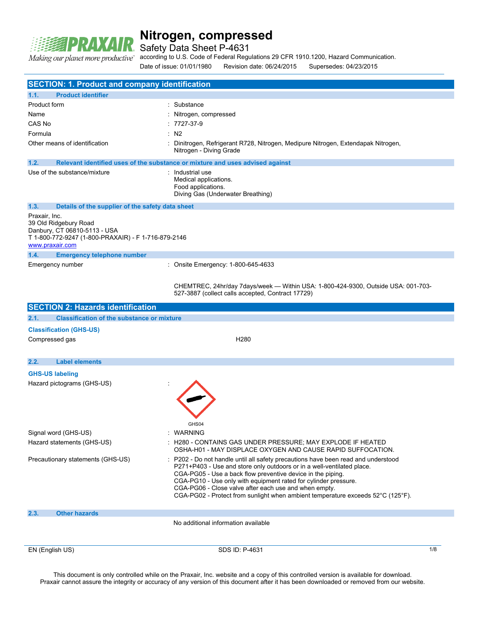

Safety Data Sheet P-4631

according to U.S. Code of Federal Regulations 29 CFR 1910.1200, Hazard Communication. "Making our planet more productive

Date of issue: 01/01/1980 Revision date: 06/24/2015 Supersedes: 04/23/2015 EN (English US) 8DS ID: P-4631 1/8 **SECTION: 1. Product and company identification 1.1. Product identifier** Product form : Substance Name : Nitrogen, compressed CAS No : 7727-37-9 Formula : N2 Other means of identification : Dinitrogen, Refrigerant R728, Nitrogen, Medipure Nitrogen, Extendapak Nitrogen, Nitrogen - Diving Grade **1.2. Relevant identified uses of the substance or mixture and uses advised against** Use of the substance/mixture : Industrial use Medical applications. Food applications. Diving Gas (Underwater Breathing) **1.3. Details of the supplier of the safety data sheet** Praxair, Inc. 39 Old Ridgebury Road Danbury, CT 06810-5113 - USA T 1-800-772-9247 (1-800-PRAXAIR) - F 1-716-879-2146 <www.praxair.com> **1.4. Emergency telephone number** Emergency number : Onsite Emergency: 1-800-645-4633 CHEMTREC, 24hr/day 7days/week — Within USA: 1-800-424-9300, Outside USA: 001-703- 527-3887 (collect calls accepted, Contract 17729) **SECTION 2: Hazards identification 2.1. Classification of the substance or mixture Classification (GHS-US)** Compressed gas **H280 2.2. Label elements GHS-US labeling** Hazard pictograms (GHS-US) : GHS04 Signal word (GHS-US)  $\cdot$  WARNING Hazard statements (GHS-US) : H280 - CONTAINS GAS UNDER PRESSURE; MAY EXPLODE IF HEATED OSHA-H01 - MAY DISPLACE OXYGEN AND CAUSE RAPID SUFFOCATION. Precautionary statements (GHS-US) : P202 - Do not handle until all safety precautions have been read and understood P271+P403 - Use and store only outdoors or in a well-ventilated place. CGA-PG05 - Use a back flow preventive device in the piping. CGA-PG10 - Use only with equipment rated for cylinder pressure. CGA-PG06 - Close valve after each use and when empty. CGA-PG02 - Protect from sunlight when ambient temperature exceeds 52°C (125°F). **2.3. Other hazards** No additional information available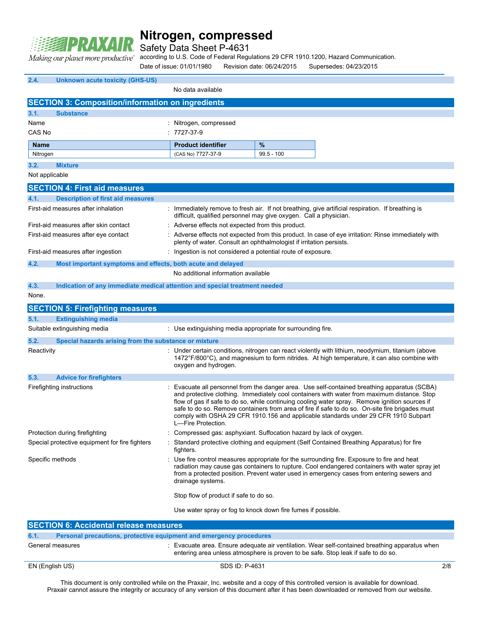

Safety Data Sheet P-4631

according to U.S. Code of Federal Regulations 29 CFR 1910.1200, Hazard Communication.

Date of issue: 01/01/1980 Revision date: 06/24/2015 Supersedes: 04/23/2015

| 2.4.             | <b>Unknown acute toxicity (GHS-US)</b>                                     |                                                                     |              |                                                                                                                                                                                                                                                                                                                                                                                                                                                                                       |
|------------------|----------------------------------------------------------------------------|---------------------------------------------------------------------|--------------|---------------------------------------------------------------------------------------------------------------------------------------------------------------------------------------------------------------------------------------------------------------------------------------------------------------------------------------------------------------------------------------------------------------------------------------------------------------------------------------|
|                  |                                                                            | No data available                                                   |              |                                                                                                                                                                                                                                                                                                                                                                                                                                                                                       |
|                  | <b>SECTION 3: Composition/information on ingredients</b>                   |                                                                     |              |                                                                                                                                                                                                                                                                                                                                                                                                                                                                                       |
| 3.1.             | <b>Substance</b>                                                           |                                                                     |              |                                                                                                                                                                                                                                                                                                                                                                                                                                                                                       |
| Name             |                                                                            | : Nitrogen, compressed                                              |              |                                                                                                                                                                                                                                                                                                                                                                                                                                                                                       |
| CAS No           |                                                                            | $: 7727 - 37 - 9$                                                   |              |                                                                                                                                                                                                                                                                                                                                                                                                                                                                                       |
| <b>Name</b>      |                                                                            | <b>Product identifier</b>                                           | %            |                                                                                                                                                                                                                                                                                                                                                                                                                                                                                       |
| Nitrogen         |                                                                            | (CAS No) 7727-37-9                                                  | $99.5 - 100$ |                                                                                                                                                                                                                                                                                                                                                                                                                                                                                       |
| 3.2.             | <b>Mixture</b>                                                             |                                                                     |              |                                                                                                                                                                                                                                                                                                                                                                                                                                                                                       |
| Not applicable   |                                                                            |                                                                     |              |                                                                                                                                                                                                                                                                                                                                                                                                                                                                                       |
|                  | <b>SECTION 4: First aid measures</b>                                       |                                                                     |              |                                                                                                                                                                                                                                                                                                                                                                                                                                                                                       |
| 4.1.             | <b>Description of first aid measures</b>                                   |                                                                     |              |                                                                                                                                                                                                                                                                                                                                                                                                                                                                                       |
|                  | First-aid measures after inhalation                                        | difficult, qualified personnel may give oxygen. Call a physician.   |              | : Immediately remove to fresh air. If not breathing, give artificial respiration. If breathing is                                                                                                                                                                                                                                                                                                                                                                                     |
|                  | First-aid measures after skin contact                                      | : Adverse effects not expected from this product.                   |              |                                                                                                                                                                                                                                                                                                                                                                                                                                                                                       |
|                  | First-aid measures after eye contact                                       | plenty of water. Consult an ophthalmologist if irritation persists. |              | : Adverse effects not expected from this product. In case of eye irritation: Rinse immediately with                                                                                                                                                                                                                                                                                                                                                                                   |
|                  | First-aid measures after ingestion                                         | : Ingestion is not considered a potential route of exposure.        |              |                                                                                                                                                                                                                                                                                                                                                                                                                                                                                       |
| 4.2.             | Most important symptoms and effects, both acute and delayed                |                                                                     |              |                                                                                                                                                                                                                                                                                                                                                                                                                                                                                       |
|                  |                                                                            | No additional information available                                 |              |                                                                                                                                                                                                                                                                                                                                                                                                                                                                                       |
| 4.3.             | Indication of any immediate medical attention and special treatment needed |                                                                     |              |                                                                                                                                                                                                                                                                                                                                                                                                                                                                                       |
| None.            |                                                                            |                                                                     |              |                                                                                                                                                                                                                                                                                                                                                                                                                                                                                       |
|                  | <b>SECTION 5: Firefighting measures</b>                                    |                                                                     |              |                                                                                                                                                                                                                                                                                                                                                                                                                                                                                       |
| 5.1.             | <b>Extinguishing media</b>                                                 |                                                                     |              |                                                                                                                                                                                                                                                                                                                                                                                                                                                                                       |
|                  | Suitable extinguishing media                                               | : Use extinguishing media appropriate for surrounding fire.         |              |                                                                                                                                                                                                                                                                                                                                                                                                                                                                                       |
| 5.2.             | Special hazards arising from the substance or mixture                      |                                                                     |              |                                                                                                                                                                                                                                                                                                                                                                                                                                                                                       |
| Reactivity       |                                                                            | oxygen and hydrogen.                                                |              | : Under certain conditions, nitrogen can react violently with lithium, neodymium, titanium (above<br>$1472^{\circ}F/800^{\circ}C$ , and magnesium to form nitrides. At high temperature, it can also combine with                                                                                                                                                                                                                                                                     |
| 5.3.             | <b>Advice for firefighters</b>                                             |                                                                     |              |                                                                                                                                                                                                                                                                                                                                                                                                                                                                                       |
|                  | Firefighting instructions                                                  | L-Fire Protection.                                                  |              | Evacuate all personnel from the danger area. Use self-contained breathing apparatus (SCBA)<br>and protective clothing. Immediately cool containers with water from maximum distance. Stop<br>flow of gas if safe to do so, while continuing cooling water spray. Remove ignition sources if<br>safe to do so. Remove containers from area of fire if safe to do so. On-site fire brigades must<br>comply with OSHA 29 CFR 1910.156 and applicable standards under 29 CFR 1910 Subpart |
|                  | Protection during firefighting                                             | : Compressed gas: asphyxiant. Suffocation hazard by lack of oxygen. |              |                                                                                                                                                                                                                                                                                                                                                                                                                                                                                       |
|                  | Special protective equipment for fire fighters                             | fighters.                                                           |              | : Standard protective clothing and equipment (Self Contained Breathing Apparatus) for fire                                                                                                                                                                                                                                                                                                                                                                                            |
| Specific methods |                                                                            | drainage systems.                                                   |              | : Use fire control measures appropriate for the surrounding fire. Exposure to fire and heat<br>radiation may cause gas containers to rupture. Cool endangered containers with water spray jet<br>from a protected position. Prevent water used in emergency cases from entering sewers and                                                                                                                                                                                            |
|                  |                                                                            | Stop flow of product if safe to do so.                              |              |                                                                                                                                                                                                                                                                                                                                                                                                                                                                                       |
|                  |                                                                            | Use water spray or fog to knock down fire fumes if possible.        |              |                                                                                                                                                                                                                                                                                                                                                                                                                                                                                       |
|                  | <b>SECTION 6: Accidental release measures</b>                              |                                                                     |              |                                                                                                                                                                                                                                                                                                                                                                                                                                                                                       |

| 6.1. | Personal precautions, protective equipment and emergency procedures |                                                                                                                                                                                     |     |  |
|------|---------------------------------------------------------------------|-------------------------------------------------------------------------------------------------------------------------------------------------------------------------------------|-----|--|
|      | General measures                                                    | : Evacuate area. Ensure adequate air ventilation. Wear self-contained breathing apparatus when<br>entering area unless atmosphere is proven to be safe. Stop leak if safe to do so. |     |  |
|      | EN (English US)                                                     | SDS ID: P-4631                                                                                                                                                                      | 2/8 |  |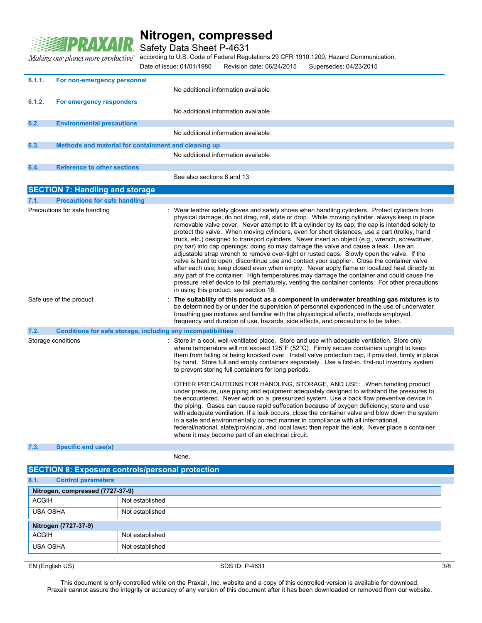

Safety Data Sheet P-4631

according to U.S. Code of Federal Regulations 29 CFR 1910.1200, Hazard Communication.

Making our planet more productive" Date of issue: 01/01/1980 Revision date: 06/24/2015 Supersedes: 04/23/2015 **6.1.1. For non-emergency personnel** No additional information available **6.1.2. For emergency responders** No additional information available **6.2. Environmental precautions** No additional information available **6.3. Methods and material for containment and cleaning up** No additional information available **6.4. Reference to other sections** See also sections 8 and 13. **SECTION 7: Handling and storage 7.1. Precautions for safe handling** Precautions for safe handling **interval of the same of the safety gloves** and safety shoes when handling cylinders. Protect cylinders from physical damage; do not drag, roll, slide or drop. While moving cylinder, always keep in place removable valve cover. Never attempt to lift a cylinder by its cap; the cap is intended solely to protect the valve. When moving cylinders, even for short distances, use a cart (trolley, hand truck, etc.) designed to transport cylinders. Never insert an object (e.g., wrench, screwdriver, pry bar) into cap openings; doing so may damage the valve and cause a leak. Use an adjustable strap wrench to remove over-tight or rusted caps. Slowly open the valve. If the valve is hard to open, discontinue use and contact your supplier. Close the container valve after each use; keep closed even when empty. Never apply flame or localized heat directly to any part of the container. High temperatures may damage the container and could cause the pressure relief device to fail prematurely, venting the container contents. For other precautions in using this product, see section 16. Safe use of the product : **The suitability of this product as a component in underwater breathing gas mixtures** is to be determined by or under the supervision of personnel experienced in the use of underwater breathing gas mixtures and familiar with the physiological effects, methods employed, frequency and duration of use, hazards, side effects, and precautions to be taken. **7.2. Conditions for safe storage, including any incompatibilities** Storage conditions **interpretatal intervalse in a cool, well-ventilated place.** Store and use with adequate ventilation. Store only where temperature will not exceed 125°F (52°C). Firmly secure containers upright to keep them from falling or being knocked over. Install valve protection cap, if provided, firmly in place by hand. Store full and empty containers separately. Use a first-in, first-out inventory system to prevent storing full containers for long periods. OTHER PRECAUTIONS FOR HANDLING, STORAGE, AND USE: When handling product under pressure, use piping and equipment adequately designed to withstand the pressures to be encountered. Never work on a pressurized system. Use a back flow preventive device in the piping. Gases can cause rapid suffocation because of oxygen deficiency; store and use with adequate ventilation. If a leak occurs, close the container valve and blow down the system in a safe and environmentally correct manner in compliance with all international, federal/national, state/provincial, and local laws; then repair the leak. Never place a container where it may become part of an electrical circuit.

#### **7.3. Specific end use(s)**

None.

### **SECTION 8: Exposure controls/personal protection 8.1. Control parameters Nitrogen, compressed (7727-37-9)** ACGIH Not established USA OSHA Not established **Nitrogen (7727-37-9)** ACGIH Not established USA OSHA Not established

EN (English US) 3/8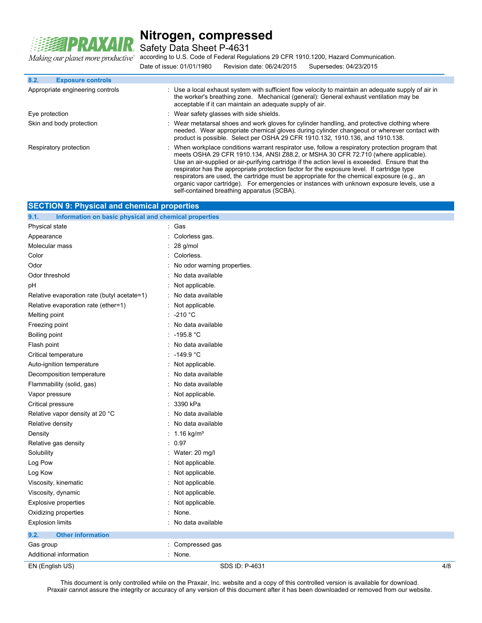

Safety Data Sheet P-4631

a our planet more productive" according to U.S. Code of Federal Regulations 29 CFR 1910.1200, Hazard Communication.

| Making our planet more productive" according to U.S. Code of Federal Regulations 29 CFR 1910.1200, Hazard Communication. |  |  |
|--------------------------------------------------------------------------------------------------------------------------|--|--|
| Date of issue: 01/01/1980                                                                                                |  |  |

| <b>Exposure controls</b><br>8.2. |                                                                                                                                                                                                                                                                                                                                                                                                                                                                                                                                                                                     |
|----------------------------------|-------------------------------------------------------------------------------------------------------------------------------------------------------------------------------------------------------------------------------------------------------------------------------------------------------------------------------------------------------------------------------------------------------------------------------------------------------------------------------------------------------------------------------------------------------------------------------------|
| Appropriate engineering controls | : Use a local exhaust system with sufficient flow velocity to maintain an adequate supply of air in<br>the worker's breathing zone. Mechanical (general): General exhaust ventilation may be<br>acceptable if it can maintain an adequate supply of air.                                                                                                                                                                                                                                                                                                                            |
| Eye protection                   | : Wear safety glasses with side shields.                                                                                                                                                                                                                                                                                                                                                                                                                                                                                                                                            |
| Skin and body protection         | : Wear metatarsal shoes and work gloves for cylinder handling, and protective clothing where<br>needed. Wear appropriate chemical gloves during cylinder changeout or wherever contact with<br>product is possible. Select per OSHA 29 CFR 1910.132, 1910.136, and 1910.138.                                                                                                                                                                                                                                                                                                        |
| Respiratory protection           | : When workplace conditions warrant respirator use, follow a respiratory protection program that<br>meets OSHA 29 CFR 1910.134, ANSI Z88.2, or MSHA 30 CFR 72.710 (where applicable).<br>Use an air-supplied or air-purifying cartridge if the action level is exceeded. Ensure that the<br>respirator has the appropriate protection factor for the exposure level. If cartridge type<br>respirators are used, the cartridge must be appropriate for the chemical exposure (e.g., an<br>organic vapor cartridge). For emergencies or instances with unknown exposure levels, use a |

self-contained breathing apparatus (SCBA).

| <b>SECTION 9: Physical and chemical properties</b>            |                             |     |  |
|---------------------------------------------------------------|-----------------------------|-----|--|
| Information on basic physical and chemical properties<br>9.1. |                             |     |  |
| Physical state                                                | : Gas                       |     |  |
| Appearance                                                    | Colorless gas.              |     |  |
| Molecular mass                                                | 28 g/mol                    |     |  |
| Color                                                         | Colorless.                  |     |  |
| Odor                                                          | No odor warning properties. |     |  |
| Odor threshold                                                | No data available           |     |  |
| рH                                                            | Not applicable.             |     |  |
| Relative evaporation rate (butyl acetate=1)                   | No data available           |     |  |
| Relative evaporation rate (ether=1)                           | Not applicable.             |     |  |
| Melting point                                                 | -210 °C                     |     |  |
| Freezing point                                                | No data available           |     |  |
| Boiling point                                                 | $-195.8 °C$                 |     |  |
| Flash point                                                   | No data available           |     |  |
| Critical temperature                                          | -149.9 $^{\circ}$ C         |     |  |
| Auto-ignition temperature                                     | Not applicable.             |     |  |
| Decomposition temperature                                     | No data available           |     |  |
| Flammability (solid, gas)                                     | No data available           |     |  |
| Vapor pressure                                                | Not applicable.             |     |  |
| Critical pressure                                             | 3390 kPa                    |     |  |
| Relative vapor density at 20 °C                               | No data available           |     |  |
| Relative density                                              | No data available           |     |  |
| Density                                                       | 1.16 $kg/m3$                |     |  |
| Relative gas density                                          | 0.97                        |     |  |
| Solubility                                                    | Water: 20 mg/l              |     |  |
| Log Pow                                                       | Not applicable.             |     |  |
| Log Kow                                                       | Not applicable.             |     |  |
| Viscosity, kinematic                                          | Not applicable.             |     |  |
| Viscosity, dynamic                                            | Not applicable.             |     |  |
| <b>Explosive properties</b>                                   | Not applicable.             |     |  |
| Oxidizing properties                                          | None.                       |     |  |
| <b>Explosion limits</b>                                       | No data available           |     |  |
| 9.2.<br><b>Other information</b>                              |                             |     |  |
| Gas group                                                     | Compressed gas              |     |  |
| Additional information                                        | None.                       |     |  |
| EN (English US)                                               | SDS ID: P-4631              | 4/8 |  |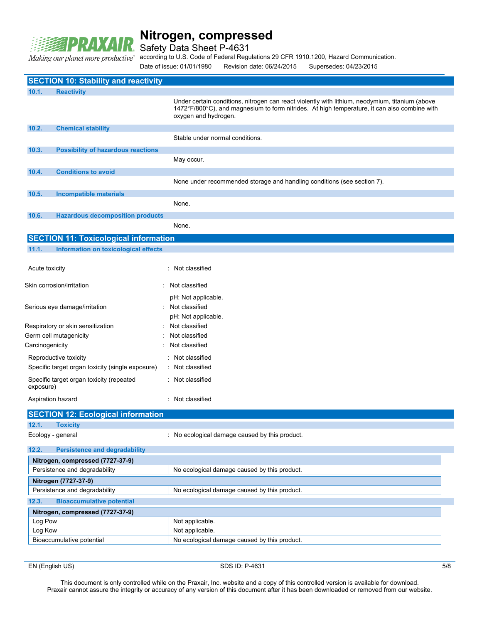

Safety Data Sheet P-4631

Making our planet more productive

according to U.S. Code of Federal Regulations 29 CFR 1910.1200, Hazard Communication.

Date of issue: 01/01/1980 Revision date: 06/24/2015 Supersedes: 04/23/2015

|                                                       | <b>SECTION 10: Stability and reactivity</b>      |                                                                                                                                                                                                                         |  |
|-------------------------------------------------------|--------------------------------------------------|-------------------------------------------------------------------------------------------------------------------------------------------------------------------------------------------------------------------------|--|
| 10.1.                                                 | <b>Reactivity</b>                                |                                                                                                                                                                                                                         |  |
|                                                       |                                                  | Under certain conditions, nitrogen can react violently with lithium, neodymium, titanium (above<br>1472°F/800°C), and magnesium to form nitrides. At high temperature, it can also combine with<br>oxygen and hydrogen. |  |
| 10.2.                                                 | <b>Chemical stability</b>                        |                                                                                                                                                                                                                         |  |
|                                                       |                                                  | Stable under normal conditions.                                                                                                                                                                                         |  |
| 10.3.                                                 | <b>Possibility of hazardous reactions</b>        |                                                                                                                                                                                                                         |  |
|                                                       |                                                  | May occur.                                                                                                                                                                                                              |  |
| 10.4.                                                 | <b>Conditions to avoid</b>                       |                                                                                                                                                                                                                         |  |
|                                                       |                                                  | None under recommended storage and handling conditions (see section 7).                                                                                                                                                 |  |
| 10.5.                                                 | <b>Incompatible materials</b>                    |                                                                                                                                                                                                                         |  |
|                                                       |                                                  | None.                                                                                                                                                                                                                   |  |
| 10.6.                                                 | <b>Hazardous decomposition products</b>          |                                                                                                                                                                                                                         |  |
|                                                       |                                                  | None.                                                                                                                                                                                                                   |  |
|                                                       |                                                  |                                                                                                                                                                                                                         |  |
|                                                       | <b>SECTION 11: Toxicological information</b>     |                                                                                                                                                                                                                         |  |
| 11.1.                                                 | <b>Information on toxicological effects</b>      |                                                                                                                                                                                                                         |  |
|                                                       |                                                  | : Not classified                                                                                                                                                                                                        |  |
| Acute toxicity                                        |                                                  |                                                                                                                                                                                                                         |  |
|                                                       | Skin corrosion/irritation                        | Not classified                                                                                                                                                                                                          |  |
|                                                       |                                                  | pH: Not applicable.                                                                                                                                                                                                     |  |
|                                                       | Serious eye damage/irritation                    | Not classified                                                                                                                                                                                                          |  |
|                                                       |                                                  | pH: Not applicable.                                                                                                                                                                                                     |  |
|                                                       | Respiratory or skin sensitization                | Not classified                                                                                                                                                                                                          |  |
|                                                       | Germ cell mutagenicity                           | Not classified                                                                                                                                                                                                          |  |
| Carcinogenicity                                       |                                                  | Not classified                                                                                                                                                                                                          |  |
|                                                       | Reproductive toxicity                            | : Not classified                                                                                                                                                                                                        |  |
|                                                       | Specific target organ toxicity (single exposure) | : Not classified                                                                                                                                                                                                        |  |
| Specific target organ toxicity (repeated<br>exposure) |                                                  | : Not classified                                                                                                                                                                                                        |  |
|                                                       | Aspiration hazard                                | : Not classified                                                                                                                                                                                                        |  |
|                                                       |                                                  |                                                                                                                                                                                                                         |  |
|                                                       | <b>SECTION 12: Ecological information</b>        |                                                                                                                                                                                                                         |  |
| 12.1.                                                 | <b>Toxicity</b>                                  |                                                                                                                                                                                                                         |  |
|                                                       | Ecology - general                                | : No ecological damage caused by this product.                                                                                                                                                                          |  |
| 12.2.                                                 | <b>Persistence and degradability</b>             |                                                                                                                                                                                                                         |  |
| Nitrogen, compressed (7727-37-9)                      |                                                  |                                                                                                                                                                                                                         |  |
|                                                       | Persistence and degradability                    | No ecological damage caused by this product.                                                                                                                                                                            |  |
| Nitrogen (7727-37-9)                                  |                                                  |                                                                                                                                                                                                                         |  |
| Persistence and degradability                         |                                                  | No ecological damage caused by this product.                                                                                                                                                                            |  |
| 12.3.                                                 | <b>Bioaccumulative potential</b>                 |                                                                                                                                                                                                                         |  |
|                                                       | Nitrogen, compressed (7727-37-9)                 |                                                                                                                                                                                                                         |  |
| Log Pow                                               |                                                  | Not applicable.                                                                                                                                                                                                         |  |
| Log Kow                                               |                                                  | Not applicable.                                                                                                                                                                                                         |  |
| Bioaccumulative potential                             |                                                  | No ecological damage caused by this product.                                                                                                                                                                            |  |

EN (English US) 5/8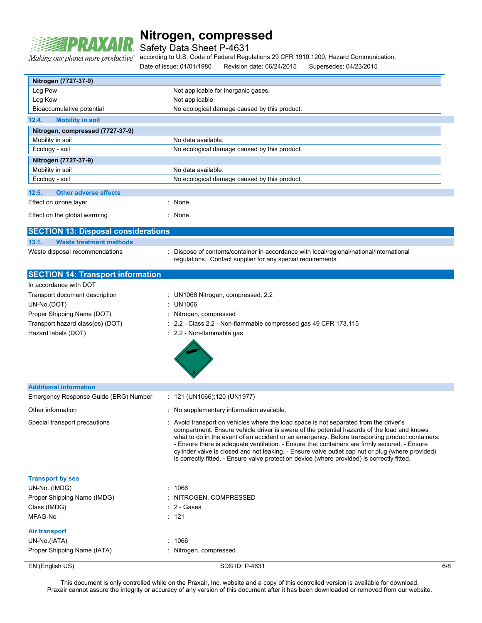

Safety Data Sheet P-4631

Making our planet more productive"

according to U.S. Code of Federal Regulations 29 CFR 1910.1200, Hazard Communication.

Date of issue: 01/01/1980 Revision date: 06/24/2015 Supersedes: 04/23/2015

| Nitrogen (7727-37-9)                       |                                                                                                                                                                                                                                                                                                                                                                                                                                                                                                                                                                                          |     |  |
|--------------------------------------------|------------------------------------------------------------------------------------------------------------------------------------------------------------------------------------------------------------------------------------------------------------------------------------------------------------------------------------------------------------------------------------------------------------------------------------------------------------------------------------------------------------------------------------------------------------------------------------------|-----|--|
| Log Pow                                    | Not applicable for inorganic gases.                                                                                                                                                                                                                                                                                                                                                                                                                                                                                                                                                      |     |  |
| Log Kow                                    | Not applicable.                                                                                                                                                                                                                                                                                                                                                                                                                                                                                                                                                                          |     |  |
|                                            | Bioaccumulative potential<br>No ecological damage caused by this product.                                                                                                                                                                                                                                                                                                                                                                                                                                                                                                                |     |  |
| 12.4.<br><b>Mobility in soil</b>           |                                                                                                                                                                                                                                                                                                                                                                                                                                                                                                                                                                                          |     |  |
|                                            |                                                                                                                                                                                                                                                                                                                                                                                                                                                                                                                                                                                          |     |  |
| Nitrogen, compressed (7727-37-9)           |                                                                                                                                                                                                                                                                                                                                                                                                                                                                                                                                                                                          |     |  |
| Mobility in soil                           | No data available.                                                                                                                                                                                                                                                                                                                                                                                                                                                                                                                                                                       |     |  |
| Ecology - soil                             | No ecological damage caused by this product.                                                                                                                                                                                                                                                                                                                                                                                                                                                                                                                                             |     |  |
| Nitrogen (7727-37-9)                       |                                                                                                                                                                                                                                                                                                                                                                                                                                                                                                                                                                                          |     |  |
| Mobility in soil                           | No data available.                                                                                                                                                                                                                                                                                                                                                                                                                                                                                                                                                                       |     |  |
| Ecology - soil                             | No ecological damage caused by this product.                                                                                                                                                                                                                                                                                                                                                                                                                                                                                                                                             |     |  |
| 12.5.<br><b>Other adverse effects</b>      |                                                                                                                                                                                                                                                                                                                                                                                                                                                                                                                                                                                          |     |  |
| Effect on ozone layer                      | None.                                                                                                                                                                                                                                                                                                                                                                                                                                                                                                                                                                                    |     |  |
| Effect on the global warming               | : None.                                                                                                                                                                                                                                                                                                                                                                                                                                                                                                                                                                                  |     |  |
| <b>SECTION 13: Disposal considerations</b> |                                                                                                                                                                                                                                                                                                                                                                                                                                                                                                                                                                                          |     |  |
| 13.1.<br><b>Waste treatment methods</b>    |                                                                                                                                                                                                                                                                                                                                                                                                                                                                                                                                                                                          |     |  |
| Waste disposal recommendations             | Dispose of contents/container in accordance with local/regional/national/international<br>regulations. Contact supplier for any special requirements.                                                                                                                                                                                                                                                                                                                                                                                                                                    |     |  |
| <b>SECTION 14: Transport information</b>   |                                                                                                                                                                                                                                                                                                                                                                                                                                                                                                                                                                                          |     |  |
| In accordance with DOT                     |                                                                                                                                                                                                                                                                                                                                                                                                                                                                                                                                                                                          |     |  |
| Transport document description             | : UN1066 Nitrogen, compressed, 2.2                                                                                                                                                                                                                                                                                                                                                                                                                                                                                                                                                       |     |  |
| UN-No.(DOT)                                | <b>UN1066</b>                                                                                                                                                                                                                                                                                                                                                                                                                                                                                                                                                                            |     |  |
| Proper Shipping Name (DOT)                 | Nitrogen, compressed                                                                                                                                                                                                                                                                                                                                                                                                                                                                                                                                                                     |     |  |
| Transport hazard class(es) (DOT)           | 2.2 - Class 2.2 - Non-flammable compressed gas 49 CFR 173.115                                                                                                                                                                                                                                                                                                                                                                                                                                                                                                                            |     |  |
| Hazard labels (DOT)                        | : 2.2 - Non-flammable gas                                                                                                                                                                                                                                                                                                                                                                                                                                                                                                                                                                |     |  |
| <b>Additional information</b>              |                                                                                                                                                                                                                                                                                                                                                                                                                                                                                                                                                                                          |     |  |
| Emergency Response Guide (ERG) Number      | $: 121 \text{ (UN1066)}; 120 \text{ (UN1977)}$                                                                                                                                                                                                                                                                                                                                                                                                                                                                                                                                           |     |  |
| Other information                          | : No supplementary information available.                                                                                                                                                                                                                                                                                                                                                                                                                                                                                                                                                |     |  |
|                                            |                                                                                                                                                                                                                                                                                                                                                                                                                                                                                                                                                                                          |     |  |
| Special transport precautions              | Avoid transport on vehicles where the load space is not separated from the driver's<br>compartment. Ensure vehicle driver is aware of the potential hazards of the load and knows<br>what to do in the event of an accident or an emergency. Before transporting product containers:<br>- Ensure there is adequate ventilation. - Ensure that containers are firmly secured. - Ensure<br>cylinder valve is closed and not leaking. - Ensure valve outlet cap nut or plug (where provided)<br>is correctly fitted. - Ensure valve protection device (where provided) is correctly fitted. |     |  |
| <b>Transport by sea</b>                    |                                                                                                                                                                                                                                                                                                                                                                                                                                                                                                                                                                                          |     |  |
| UN-No. (IMDG)                              | : 1066                                                                                                                                                                                                                                                                                                                                                                                                                                                                                                                                                                                   |     |  |
| Proper Shipping Name (IMDG)                | : NITROGEN, COMPRESSED                                                                                                                                                                                                                                                                                                                                                                                                                                                                                                                                                                   |     |  |
| Class (IMDG)                               | $\therefore$ 2 - Gases                                                                                                                                                                                                                                                                                                                                                                                                                                                                                                                                                                   |     |  |
| MFAG-No                                    | : 121                                                                                                                                                                                                                                                                                                                                                                                                                                                                                                                                                                                    |     |  |
| Air transport                              |                                                                                                                                                                                                                                                                                                                                                                                                                                                                                                                                                                                          |     |  |
| UN-No.(IATA)                               | : 1066                                                                                                                                                                                                                                                                                                                                                                                                                                                                                                                                                                                   |     |  |
| Proper Shipping Name (IATA)                | : Nitrogen, compressed                                                                                                                                                                                                                                                                                                                                                                                                                                                                                                                                                                   |     |  |
| EN (English US)                            | SDS ID: P-4631                                                                                                                                                                                                                                                                                                                                                                                                                                                                                                                                                                           | 6/8 |  |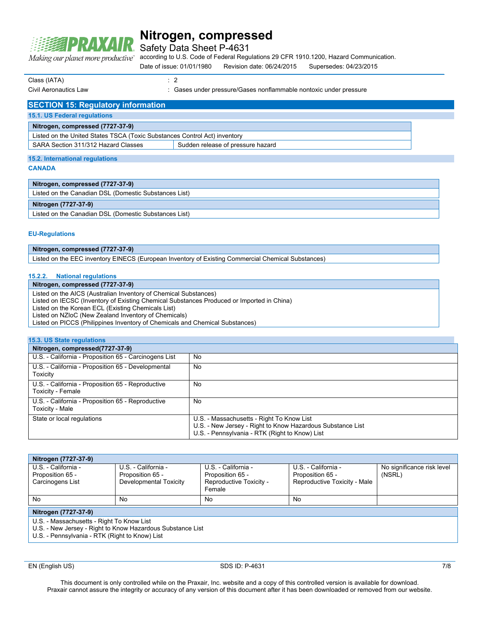

Safety Data Sheet P-4631

Making our planet more productive"

according to U.S. Code of Federal Regulations 29 CFR 1910.1200, Hazard Communication. Date of issue: 01/01/1980 Revision date: 06/24/2015 Supersedes: 04/23/2015

Class (IATA) : 2

Civil Aeronautics Law : Gases under pressure/Gases nonflammable nontoxic under pressure

| <b>SECTION 15: Regulatory information</b>                                 |  |  |  |  |
|---------------------------------------------------------------------------|--|--|--|--|
| 15.1. US Federal regulations                                              |  |  |  |  |
| Nitrogen, compressed (7727-37-9)                                          |  |  |  |  |
| Listed on the United States TSCA (Toxic Substances Control Act) inventory |  |  |  |  |
| Sudden release of pressure hazard<br>SARA Section 311/312 Hazard Classes  |  |  |  |  |
|                                                                           |  |  |  |  |
| 15.2. International regulations                                           |  |  |  |  |

#### **CANADA**

| Nitrogen, compressed (7727-37-9)                      |
|-------------------------------------------------------|
| Listed on the Canadian DSL (Domestic Substances List) |
| Nitrogen (7727-37-9)                                  |
|                                                       |

#### **EU-Regulations**

#### **Nitrogen, compressed (7727-37-9)**

Listed on the EEC inventory EINECS (European Inventory of Existing Commercial Chemical Substances)

#### **15.2.2. National regulations**

#### **Nitrogen, compressed (7727-37-9)**

Listed on the AICS (Australian Inventory of Chemical Substances)

Listed on IECSC (Inventory of Existing Chemical Substances Produced or Imported in China)

Listed on the Korean ECL (Existing Chemicals List) Listed on NZIoC (New Zealand Inventory of Chemicals)

Listed on PICCS (Philippines Inventory of Chemicals and Chemical Substances)

| 15.3. US State regulations                                             |                                                                                                                                                           |  |  |  |
|------------------------------------------------------------------------|-----------------------------------------------------------------------------------------------------------------------------------------------------------|--|--|--|
| Nitrogen, compressed(7727-37-9)                                        |                                                                                                                                                           |  |  |  |
| U.S. - California - Proposition 65 - Carcinogens List                  | No                                                                                                                                                        |  |  |  |
| U.S. - California - Proposition 65 - Developmental<br>Toxicity         | No                                                                                                                                                        |  |  |  |
| U.S. - California - Proposition 65 - Reproductive<br>Toxicity - Female | No                                                                                                                                                        |  |  |  |
| U.S. - California - Proposition 65 - Reproductive<br>Toxicity - Male   | No                                                                                                                                                        |  |  |  |
| State or local regulations                                             | U.S. - Massachusetts - Right To Know List<br>U.S. - New Jersey - Right to Know Hazardous Substance List<br>U.S. - Pennsylvania - RTK (Right to Know) List |  |  |  |

| Nitrogen (7727-37-9)                                                                                                                                      |                        |                                   |                              |                            |  |
|-----------------------------------------------------------------------------------------------------------------------------------------------------------|------------------------|-----------------------------------|------------------------------|----------------------------|--|
| U.S. - California -                                                                                                                                       | U.S. - California -    | U.S. - California -               | U.S. - California -          | No significance risk level |  |
| Proposition 65 -                                                                                                                                          | Proposition 65 -       | Proposition 65 -                  | Proposition 65 -             | (NSRL)                     |  |
| Carcinogens List                                                                                                                                          | Developmental Toxicity | Reproductive Toxicity -<br>Female | Reproductive Toxicity - Male |                            |  |
| No                                                                                                                                                        | No                     | No                                | No                           |                            |  |
| Nitrogen (7727-37-9)                                                                                                                                      |                        |                                   |                              |                            |  |
| U.S. - Massachusetts - Right To Know List<br>U.S. - New Jersey - Right to Know Hazardous Substance List<br>U.S. - Pennsylvania - RTK (Right to Know) List |                        |                                   |                              |                            |  |